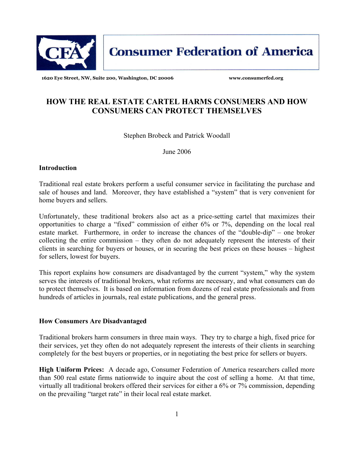

**Consumer Federation of America** 

**1620 Eye Street, NW, Suite 200, Washington, DC 20006 www.consumerfed.org** 

# **HOW THE REAL ESTATE CARTEL HARMS CONSUMERS AND HOW CONSUMERS CAN PROTECT THEMSELVES**

Stephen Brobeck and Patrick Woodall

June 2006

## **Introduction**

Traditional real estate brokers perform a useful consumer service in facilitating the purchase and sale of houses and land. Moreover, they have established a "system" that is very convenient for home buyers and sellers.

Unfortunately, these traditional brokers also act as a price-setting cartel that maximizes their opportunities to charge a "fixed" commission of either 6% or 7%, depending on the local real estate market. Furthermore, in order to increase the chances of the "double-dip" – one broker collecting the entire commission – they often do not adequately represent the interests of their clients in searching for buyers or houses, or in securing the best prices on these houses – highest for sellers, lowest for buyers.

This report explains how consumers are disadvantaged by the current "system," why the system serves the interests of traditional brokers, what reforms are necessary, and what consumers can do to protect themselves. It is based on information from dozens of real estate professionals and from hundreds of articles in journals, real estate publications, and the general press.

## **How Consumers Are Disadvantaged**

Traditional brokers harm consumers in three main ways. They try to charge a high, fixed price for their services, yet they often do not adequately represent the interests of their clients in searching completely for the best buyers or properties, or in negotiating the best price for sellers or buyers.

**High Uniform Prices:** A decade ago, Consumer Federation of America researchers called more than 500 real estate firms nationwide to inquire about the cost of selling a home. At that time, virtually all traditional brokers offered their services for either a 6% or 7% commission, depending on the prevailing "target rate" in their local real estate market.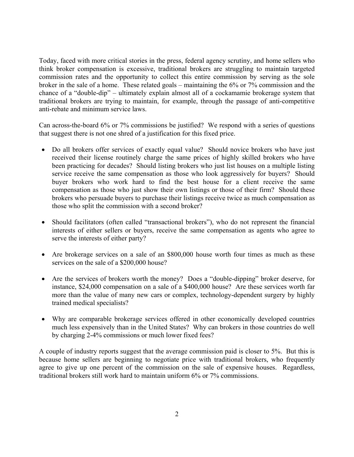Today, faced with more critical stories in the press, federal agency scrutiny, and home sellers who think broker compensation is excessive, traditional brokers are struggling to maintain targeted commission rates and the opportunity to collect this entire commission by serving as the sole broker in the sale of a home. These related goals – maintaining the 6% or 7% commission and the chance of a "double-dip" – ultimately explain almost all of a cockamamie brokerage system that traditional brokers are trying to maintain, for example, through the passage of anti-competitive anti-rebate and minimum service laws.

Can across-the-board 6% or 7% commissions be justified? We respond with a series of questions that suggest there is not one shred of a justification for this fixed price.

- Do all brokers offer services of exactly equal value? Should novice brokers who have just received their license routinely charge the same prices of highly skilled brokers who have been practicing for decades? Should listing brokers who just list houses on a multiple listing service receive the same compensation as those who look aggressively for buyers? Should buyer brokers who work hard to find the best house for a client receive the same compensation as those who just show their own listings or those of their firm? Should these brokers who persuade buyers to purchase their listings receive twice as much compensation as those who split the commission with a second broker?
- Should facilitators (often called "transactional brokers"), who do not represent the financial interests of either sellers or buyers, receive the same compensation as agents who agree to serve the interests of either party?
- Are brokerage services on a sale of an \$800,000 house worth four times as much as these services on the sale of a \$200,000 house?
- Are the services of brokers worth the money? Does a "double-dipping" broker deserve, for instance, \$24,000 compensation on a sale of a \$400,000 house? Are these services worth far more than the value of many new cars or complex, technology-dependent surgery by highly trained medical specialists?
- Why are comparable brokerage services offered in other economically developed countries much less expensively than in the United States? Why can brokers in those countries do well by charging 2-4% commissions or much lower fixed fees?

A couple of industry reports suggest that the average commission paid is closer to 5%. But this is because home sellers are beginning to negotiate price with traditional brokers, who frequently agree to give up one percent of the commission on the sale of expensive houses. Regardless, traditional brokers still work hard to maintain uniform 6% or 7% commissions.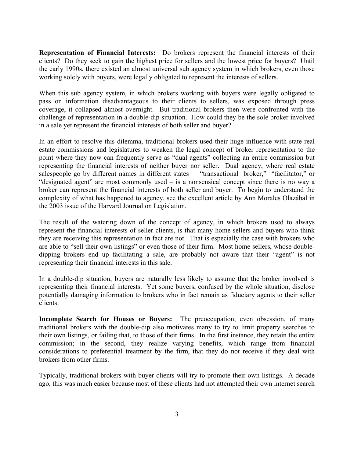**Representation of Financial Interests:** Do brokers represent the financial interests of their clients? Do they seek to gain the highest price for sellers and the lowest price for buyers? Until the early 1990s, there existed an almost universal sub agency system in which brokers, even those working solely with buyers, were legally obligated to represent the interests of sellers.

When this sub agency system, in which brokers working with buyers were legally obligated to pass on information disadvantageous to their clients to sellers, was exposed through press coverage, it collapsed almost overnight. But traditional brokers then were confronted with the challenge of representation in a double-dip situation. How could they be the sole broker involved in a sale yet represent the financial interests of both seller and buyer?

In an effort to resolve this dilemma, traditional brokers used their huge influence with state real estate commissions and legislatures to weaken the legal concept of broker representation to the point where they now can frequently serve as "dual agents" collecting an entire commission but representing the financial interests of neither buyer nor seller. Dual agency, where real estate salespeople go by different names in different states – "transactional broker," "facilitator," or "designated agent" are most commonly used – is a nonsensical concept since there is no way a broker can represent the financial interests of both seller and buyer. To begin to understand the complexity of what has happened to agency, see the excellent article by Ann Morales Olazábal in the 2003 issue of the Harvard Journal on Legislation.

The result of the watering down of the concept of agency, in which brokers used to always represent the financial interests of seller clients, is that many home sellers and buyers who think they are receiving this representation in fact are not. That is especially the case with brokers who are able to "sell their own listings" or even those of their firm. Most home sellers, whose doubledipping brokers end up facilitating a sale, are probably not aware that their "agent" is not representing their financial interests in this sale.

In a double-dip situation, buyers are naturally less likely to assume that the broker involved is representing their financial interests. Yet some buyers, confused by the whole situation, disclose potentially damaging information to brokers who in fact remain as fiduciary agents to their seller clients.

**Incomplete Search for Houses or Buyers:** The preoccupation, even obsession, of many traditional brokers with the double-dip also motivates many to try to limit property searches to their own listings, or failing that, to those of their firms. In the first instance, they retain the entire commission; in the second, they realize varying benefits, which range from financial considerations to preferential treatment by the firm, that they do not receive if they deal with brokers from other firms.

Typically, traditional brokers with buyer clients will try to promote their own listings. A decade ago, this was much easier because most of these clients had not attempted their own internet search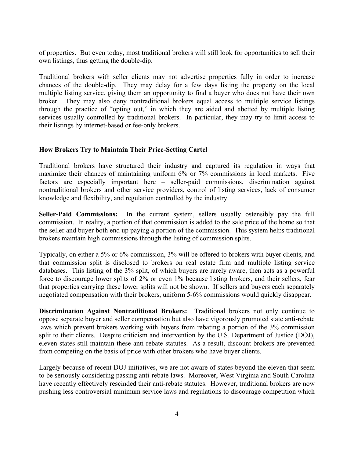of properties. But even today, most traditional brokers will still look for opportunities to sell their own listings, thus getting the double-dip.

Traditional brokers with seller clients may not advertise properties fully in order to increase chances of the double-dip. They may delay for a few days listing the property on the local multiple listing service, giving them an opportunity to find a buyer who does not have their own broker. They may also deny nontraditional brokers equal access to multiple service listings through the practice of "opting out," in which they are aided and abetted by multiple listing services usually controlled by traditional brokers. In particular, they may try to limit access to their listings by internet-based or fee-only brokers.

## **How Brokers Try to Maintain Their Price-Setting Cartel**

Traditional brokers have structured their industry and captured its regulation in ways that maximize their chances of maintaining uniform 6% or 7% commissions in local markets. Five factors are especially important here – seller-paid commissions, discrimination against nontraditional brokers and other service providers, control of listing services, lack of consumer knowledge and flexibility, and regulation controlled by the industry.

**Seller-Paid Commissions:** In the current system, sellers usually ostensibly pay the full commission. In reality, a portion of that commission is added to the sale price of the home so that the seller and buyer both end up paying a portion of the commission. This system helps traditional brokers maintain high commissions through the listing of commission splits.

Typically, on either a 5% or 6% commission, 3% will be offered to brokers with buyer clients, and that commission split is disclosed to brokers on real estate firm and multiple listing service databases. This listing of the 3% split, of which buyers are rarely aware, then acts as a powerful force to discourage lower splits of 2% or even 1% because listing brokers, and their sellers, fear that properties carrying these lower splits will not be shown. If sellers and buyers each separately negotiated compensation with their brokers, uniform 5-6% commissions would quickly disappear.

**Discrimination Against Nontraditional Brokers:** Traditional brokers not only continue to oppose separate buyer and seller compensation but also have vigorously promoted state anti-rebate laws which prevent brokers working with buyers from rebating a portion of the 3% commission split to their clients. Despite criticism and intervention by the U.S. Department of Justice (DOJ), eleven states still maintain these anti-rebate statutes. As a result, discount brokers are prevented from competing on the basis of price with other brokers who have buyer clients.

Largely because of recent DOJ initiatives, we are not aware of states beyond the eleven that seem to be seriously considering passing anti-rebate laws. Moreover, West Virginia and South Carolina have recently effectively rescinded their anti-rebate statutes. However, traditional brokers are now pushing less controversial minimum service laws and regulations to discourage competition which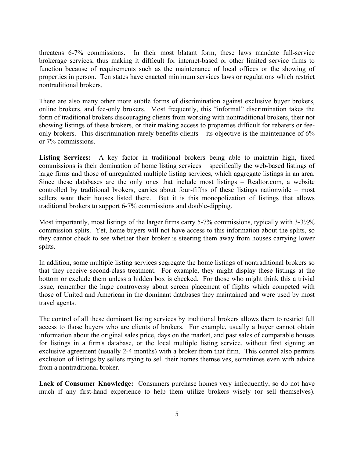threatens 6-7% commissions. In their most blatant form, these laws mandate full-service brokerage services, thus making it difficult for internet-based or other limited service firms to function because of requirements such as the maintenance of local offices or the showing of properties in person. Ten states have enacted minimum services laws or regulations which restrict nontraditional brokers.

There are also many other more subtle forms of discrimination against exclusive buyer brokers, online brokers, and fee-only brokers. Most frequently, this "informal" discrimination takes the form of traditional brokers discouraging clients from working with nontraditional brokers, their not showing listings of these brokers, or their making access to properties difficult for rebaters or feeonly brokers. This discrimination rarely benefits clients – its objective is the maintenance of 6% or 7% commissions.

**Listing Services:** A key factor in traditional brokers being able to maintain high, fixed commissions is their domination of home listing services – specifically the web-based listings of large firms and those of unregulated multiple listing services, which aggregate listings in an area. Since these databases are the only ones that include most listings – Realtor.com, a website controlled by traditional brokers, carries about four-fifths of these listings nationwide – most sellers want their houses listed there. But it is this monopolization of listings that allows traditional brokers to support 6-7% commissions and double-dipping.

Most importantly, most listings of the larger firms carry 5-7% commissions, typically with 3-3½% commission splits. Yet, home buyers will not have access to this information about the splits, so they cannot check to see whether their broker is steering them away from houses carrying lower splits.

In addition, some multiple listing services segregate the home listings of nontraditional brokers so that they receive second-class treatment. For example, they might display these listings at the bottom or exclude them unless a hidden box is checked. For those who might think this a trivial issue, remember the huge controversy about screen placement of flights which competed with those of United and American in the dominant databases they maintained and were used by most travel agents.

The control of all these dominant listing services by traditional brokers allows them to restrict full access to those buyers who are clients of brokers. For example, usually a buyer cannot obtain information about the original sales price, days on the market, and past sales of comparable houses for listings in a firm's database, or the local multiple listing service, without first signing an exclusive agreement (usually 2-4 months) with a broker from that firm. This control also permits exclusion of listings by sellers trying to sell their homes themselves, sometimes even with advice from a nontraditional broker.

**Lack of Consumer Knowledge:** Consumers purchase homes very infrequently, so do not have much if any first-hand experience to help them utilize brokers wisely (or sell themselves).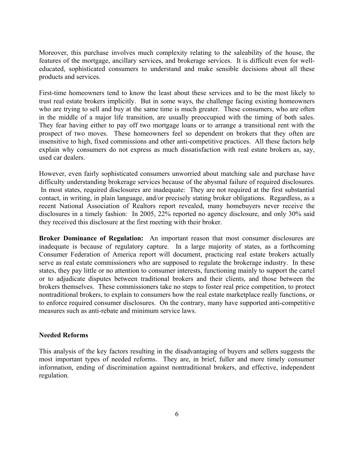Moreover, this purchase involves much complexity relating to the saleability of the house, the features of the mortgage, ancillary services, and brokerage services. It is difficult even for welleducated, sophisticated consumers to understand and make sensible decisions about all these products and services.

First-time homeowners tend to know the least about these services and to be the most likely to trust real estate brokers implicitly. But in some ways, the challenge facing existing homeowners who are trying to sell and buy at the same time is much greater. These consumers, who are often in the middle of a major life transition, are usually preoccupied with the timing of both sales. They fear having either to pay off two mortgage loans or to arrange a transitional rent with the prospect of two moves. These homeowners feel so dependent on brokers that they often are insensitive to high, fixed commissions and other anti-competitive practices. All these factors help explain why consumers do not express as much dissatisfaction with real estate brokers as, say, used car dealers.

However, even fairly sophisticated consumers unworried about matching sale and purchase have difficulty understanding brokerage services because of the abysmal failure of required disclosures. In most states, required disclosures are inadequate: They are not required at the first substantial contact, in writing, in plain language, and/or precisely stating broker obligations. Regardless, as a recent National Association of Realtors report revealed, many homebuyers never receive the disclosures in a timely fashion: In 2005, 22% reported no agency disclosure, and only 30% said they received this disclosure at the first meeting with their broker.

**Broker Dominance of Regulation:** An important reason that most consumer disclosures are inadequate is because of regulatory capture. In a large majority of states, as a forthcoming Consumer Federation of America report will document, practicing real estate brokers actually serve as real estate commissioners who are supposed to regulate the brokerage industry. In these states, they pay little or no attention to consumer interests, functioning mainly to support the cartel or to adjudicate disputes between traditional brokers and their clients, and those between the brokers themselves. These commissioners take no steps to foster real price competition, to protect nontraditional brokers, to explain to consumers how the real estate marketplace really functions, or to enforce required consumer disclosures. On the contrary, many have supported anti-competitive measures such as anti-rebate and minimum service laws.

## **Needed Reforms**

This analysis of the key factors resulting in the disadvantaging of buyers and sellers suggests the most important types of needed reforms. They are, in brief, fuller and more timely consumer information, ending of discrimination against nontraditional brokers, and effective, independent regulation.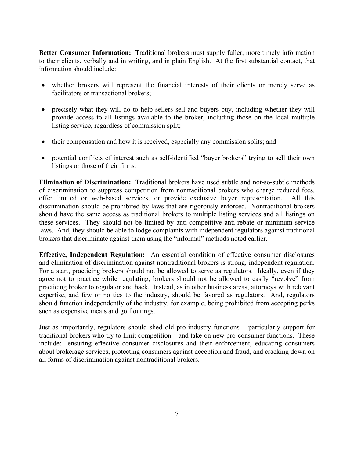**Better Consumer Information:** Traditional brokers must supply fuller, more timely information to their clients, verbally and in writing, and in plain English. At the first substantial contact, that information should include:

- whether brokers will represent the financial interests of their clients or merely serve as facilitators or transactional brokers;
- precisely what they will do to help sellers sell and buyers buy, including whether they will provide access to all listings available to the broker, including those on the local multiple listing service, regardless of commission split;
- their compensation and how it is received, especially any commission splits; and
- potential conflicts of interest such as self-identified "buyer brokers" trying to sell their own listings or those of their firms.

**Elimination of Discrimination:** Traditional brokers have used subtle and not-so-subtle methods of discrimination to suppress competition from nontraditional brokers who charge reduced fees, offer limited or web-based services, or provide exclusive buyer representation. All this discrimination should be prohibited by laws that are rigorously enforced. Nontraditional brokers should have the same access as traditional brokers to multiple listing services and all listings on these services. They should not be limited by anti-competitive anti-rebate or minimum service laws. And, they should be able to lodge complaints with independent regulators against traditional brokers that discriminate against them using the "informal" methods noted earlier.

**Effective, Independent Regulation:** An essential condition of effective consumer disclosures and elimination of discrimination against nontraditional brokers is strong, independent regulation. For a start, practicing brokers should not be allowed to serve as regulators. Ideally, even if they agree not to practice while regulating, brokers should not be allowed to easily "revolve" from practicing broker to regulator and back. Instead, as in other business areas, attorneys with relevant expertise, and few or no ties to the industry, should be favored as regulators. And, regulators should function independently of the industry, for example, being prohibited from accepting perks such as expensive meals and golf outings.

Just as importantly, regulators should shed old pro-industry functions – particularly support for traditional brokers who try to limit competition – and take on new pro-consumer functions. These include: ensuring effective consumer disclosures and their enforcement, educating consumers about brokerage services, protecting consumers against deception and fraud, and cracking down on all forms of discrimination against nontraditional brokers.